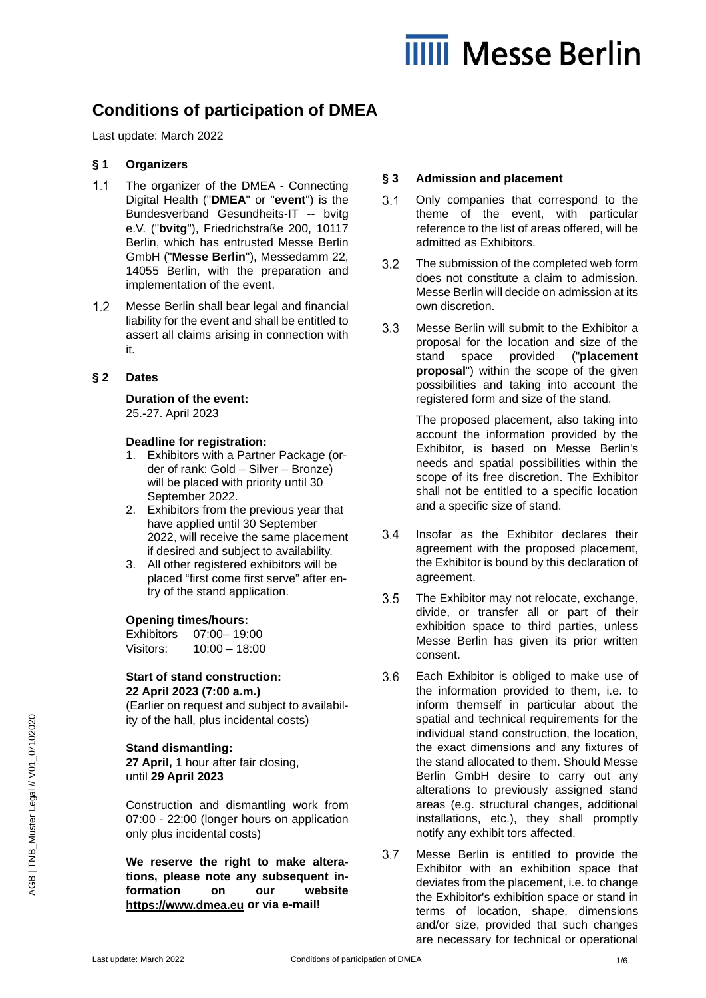# **IIIII** Messe Berlin

# **Conditions of participation of DMEA**

Last update: March 2022

# **§ 1 Organizers**

- $1.1$ The organizer of the DMEA - Connecting Digital Health ("**DMEA**" or "**event**") is the Bundesverband Gesundheits-IT -- bvitg e.V. ("**bvitg**"), Friedrichstraße 200, 10117 Berlin, which has entrusted Messe Berlin GmbH ("**Messe Berlin**"), Messedamm 22, 14055 Berlin, with the preparation and implementation of the event.
- $1.2$ Messe Berlin shall bear legal and financial liability for the event and shall be entitled to assert all claims arising in connection with it.

# **§ 2 Dates**

#### **Duration of the event:** 25.-27. April 2023

**Deadline for registration:**

- 1. Exhibitors with a Partner Package (order of rank: Gold – Silver – Bronze) will be placed with priority until 30 September 2022.
- 2. Exhibitors from the previous year that have applied until 30 September 2022, will receive the same placement if desired and subject to availability.
- 3. All other registered exhibitors will be placed "first come first serve" after entry of the stand application.

# **Opening times/hours:**

Exhibitors 07:00– 19:00 Visitors: 10:00 – 18:00

# **Start of stand construction: 22 April 2023 (7:00 a.m.)**

(Earlier on request and subject to availability of the hall, plus incidental costs)

# **Stand dismantling:**

**27 April,** 1 hour after fair closing, until **29 April 2023**

Construction and dismantling work from 07:00 - 22:00 (longer hours on application only plus incidental costs)

**We reserve the right to make alterations, please note any subsequent information on our website [https://www.dmea.eu](https://www.dmea.eu/) or via e-mail!**

# **§ 3 Admission and placement**

- $3.1$ Only companies that correspond to the theme of the event, with particular reference to the list of areas offered, will be admitted as Exhibitors.
- $3.2$ The submission of the completed web form does not constitute a claim to admission. Messe Berlin will decide on admission at its own discretion.
- $3.3$ Messe Berlin will submit to the Exhibitor a proposal for the location and size of the stand space provided ("**placement proposal**") within the scope of the given possibilities and taking into account the registered form and size of the stand.

The proposed placement, also taking into account the information provided by the Exhibitor, is based on Messe Berlin's needs and spatial possibilities within the scope of its free discretion. The Exhibitor shall not be entitled to a specific location and a specific size of stand.

- $3.4$ Insofar as the Exhibitor declares their agreement with the proposed placement, the Exhibitor is bound by this declaration of agreement.
- $3.5$ The Exhibitor may not relocate, exchange, divide, or transfer all or part of their exhibition space to third parties, unless Messe Berlin has given its prior written consent.
- $3.6$ Each Exhibitor is obliged to make use of the information provided to them, i.e. to inform themself in particular about the spatial and technical requirements for the individual stand construction, the location, the exact dimensions and any fixtures of the stand allocated to them. Should Messe Berlin GmbH desire to carry out any alterations to previously assigned stand areas (e.g. structural changes, additional installations, etc.), they shall promptly notify any exhibit tors affected.
- $3.7$ Messe Berlin is entitled to provide the Exhibitor with an exhibition space that deviates from the placement, i.e. to change the Exhibitor's exhibition space or stand in terms of location, shape, dimensions and/or size, provided that such changes are necessary for technical or operational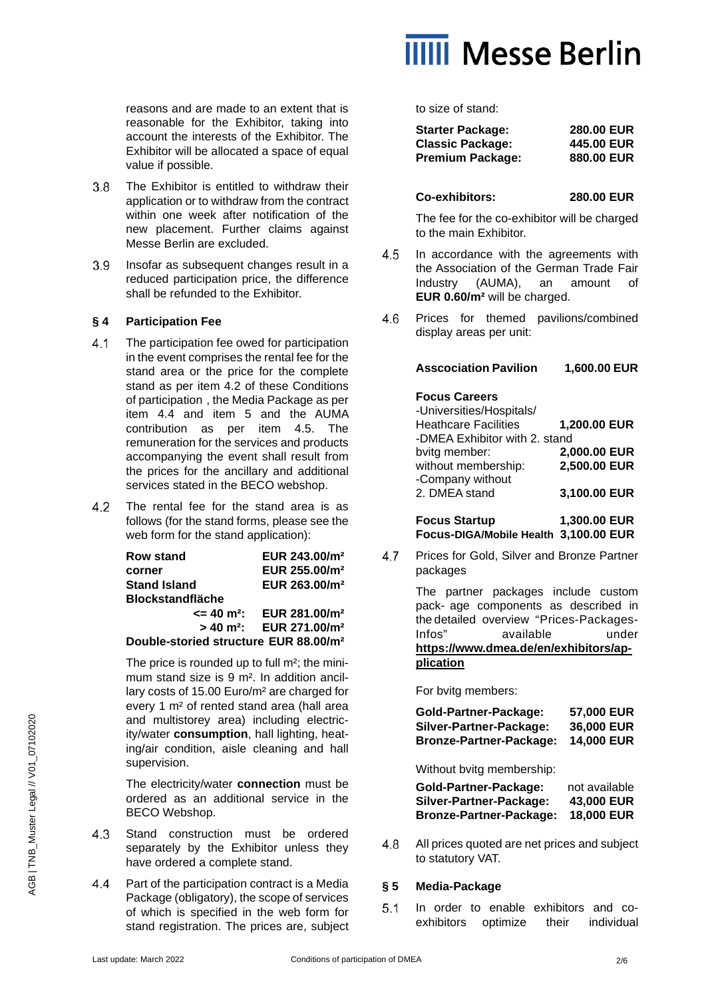reasons and are made to an extent that is reasonable for the Exhibitor, taking into account the interests of the Exhibitor. The Exhibitor will be allocated a space of equal value if possible.

- $3.8$ The Exhibitor is entitled to withdraw their application or to withdraw from the contract within one week after notification of the new placement. Further claims against Messe Berlin are excluded.
- $3.9$ Insofar as subsequent changes result in a reduced participation price, the difference shall be refunded to the Exhibitor.

# **§ 4 Participation Fee**

- $4.1$ The participation fee owed for participation in the event comprises the rental fee for the stand area or the price for the complete stand as per item 4.2 of these Conditions of participation , the Media Package as per item 4.4 and item 5 and the AUMA contribution as per item 4.5. The remuneration for the services and products accompanying the event shall result from the prices for the ancillary and additional services stated in the BECO webshop.
- $4.2$ The rental fee for the stand area is as follows (for the stand forms, please see the web form for the stand application):

| <b>Row stand</b>                                  | EUR 243.00/m <sup>2</sup>                         |  |
|---------------------------------------------------|---------------------------------------------------|--|
| corner                                            | EUR 255.00/m <sup>2</sup>                         |  |
| <b>Stand Island</b>                               | EUR 263.00/m <sup>2</sup>                         |  |
| <b>Blockstandfläche</b>                           |                                                   |  |
| <= 40 m <sup>2</sup> :                            | EUR 281.00/m <sup>2</sup>                         |  |
|                                                   | $> 40$ m <sup>2</sup> : EUR 271.00/m <sup>2</sup> |  |
| Double-storied structure EUR 88.00/m <sup>2</sup> |                                                   |  |

The price is rounded up to full m²; the minimum stand size is 9 m². In addition ancillary costs of 15.00 Euro/m² are charged for every 1 m² of rented stand area (hall area and multistorey area) including electricity/water **consumption**, hall lighting, heating/air condition, aisle cleaning and hall supervision.

The electricity/water **connection** must be ordered as an additional service in the BECO Webshop.

- 4.3 Stand construction must be ordered separately by the Exhibitor unless they have ordered a complete stand.
- $4.4$ Part of the participation contract is a Media Package (obligatory), the scope of services of which is specified in the web form for stand registration. The prices are, subject



to size of stand:

| <b>Starter Package:</b> | <b>280.00 EUR</b> |
|-------------------------|-------------------|
| <b>Classic Package:</b> | 445.00 EUR        |
| <b>Premium Package:</b> | 880,00 EUR        |

#### **Co-exhibitors: 280.00 EUR**

The fee for the co-exhibitor will be charged to the main Exhibitor.

- $4.5$ In accordance with the agreements with the Association of the German Trade Fair Industry (AUMA), an amount of **EUR 0.60/m²** will be charged.
- 4.6 Prices for themed pavilions/combined display areas per unit:

#### **Asscociation Pavilion 1,600.00 EUR**

# **Focus Careers**

| -Universities/Hospitals/              |              |
|---------------------------------------|--------------|
| <b>Heathcare Facilities</b>           | 1,200.00 EUR |
| -DMEA Exhibitor with 2. stand         |              |
| bvitg member:                         | 2,000.00 EUR |
| without membership:                   | 2,500.00 EUR |
| -Company without                      |              |
| 2. DMEA stand                         | 3,100.00 EUR |
|                                       |              |
| <b>Focus Startup</b>                  | 1,300.00 EUR |
| Focus-DIGA/Mobile Health 3,100.00 EUR |              |

 $4.7$ Prices for Gold, Silver and Bronze Partner packages

> The partner packages include custom pack- age components as described in the detailed overview "Prices-Packages-Infos" available under **[https://www.dmea.de/en/exhibitors/ap](https://www.dmea.de/en/exhibitors/application)[plication](https://www.dmea.de/en/exhibitors/application)**

For bvitg members:

| <b>Gold-Partner-Package:</b>   | 57,000 EUR        |
|--------------------------------|-------------------|
| Silver-Partner-Package:        | <b>36,000 EUR</b> |
| <b>Bronze-Partner-Package:</b> | <b>14.000 EUR</b> |

Without bvitg membership:

| Gold-Partner-Package:          | not available     |
|--------------------------------|-------------------|
| Silver-Partner-Package:        | <b>43,000 EUR</b> |
| <b>Bronze-Partner-Package:</b> | <b>18,000 EUR</b> |

4.8 All prices quoted are net prices and subject to statutory VAT.

# **§ 5 Media-Package**

 $5.1$ In order to enable exhibitors and coexhibitors optimize their individual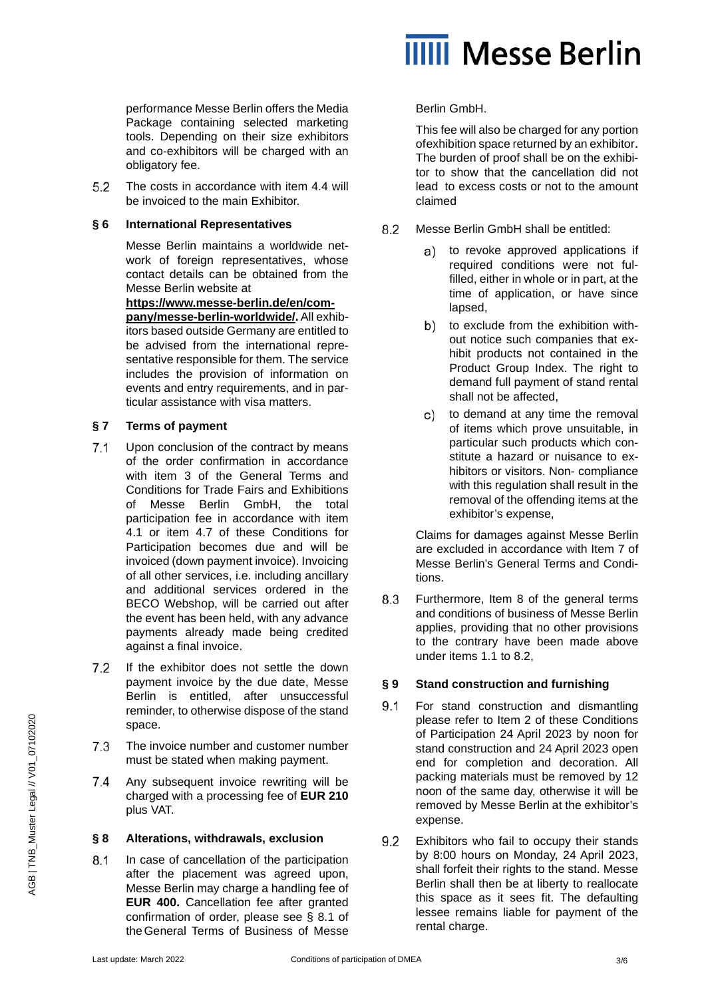

performance Messe Berlin offers the Media Package containing selected marketing tools. Depending on their size exhibitors and co-exhibitors will be charged with an obligatory fee.

 $5.2$ The costs in accordance with item 4.4 will be invoiced to the main Exhibitor.

#### **§ 6 International Representatives**

Messe Berlin maintains a worldwide network of foreign representatives, whose contact details can be obtained from the Messe Berlin website at

**[https://www.messe-berlin.de/en/com](https://www.messe-berlin.de/en/company/messe-berlin-worldwide/)[pany/messe-berlin-worldwide/.](https://www.messe-berlin.de/en/company/messe-berlin-worldwide/)** All exhibitors based outside Germany are entitled to be advised from the international representative responsible for them. The service includes the provision of information on events and entry requirements, and in particular assistance with visa matters.

# **§ 7 Terms of payment**

- $7.1$ Upon conclusion of the contract by means of the order confirmation in accordance with item 3 of the General Terms and Conditions for Trade Fairs and Exhibitions of Messe Berlin GmbH, the total participation fee in accordance with item 4.1 or item 4.7 of these Conditions for Participation becomes due and will be invoiced (down payment invoice). Invoicing of all other services, i.e. including ancillary and additional services ordered in the BECO Webshop, will be carried out after the event has been held, with any advance payments already made being credited against a final invoice.
- $7.2$ If the exhibitor does not settle the down payment invoice by the due date, Messe Berlin is entitled, after unsuccessful reminder, to otherwise dispose of the stand space.
- $7.3$ The invoice number and customer number must be stated when making payment.
- Any subsequent invoice rewriting will be  $7.4$ charged with a processing fee of **EUR 210** plus VAT.

# **§ 8 Alterations, withdrawals, exclusion**

 $8.1$ In case of cancellation of the participation after the placement was agreed upon, Messe Berlin may charge a handling fee of **EUR 400.** Cancellation fee after granted confirmation of order, please see § 8.1 of theGeneral Terms of Business of Messe

# Berlin GmbH.

This fee will also be charged for any portion ofexhibition space returned by an exhibitor*.*  The burden of proof shall be on the exhibitor to show that the cancellation did not lead to excess costs or not to the amount claimed

- 8.2 Messe Berlin GmbH shall be entitled:
	- a) to revoke approved applications if required conditions were not fulfilled, either in whole or in part, at the time of application, or have since lapsed,
	- b) to exclude from the exhibition without notice such companies that exhibit products not contained in the Product Group Index. The right to demand full payment of stand rental shall not be affected,
	- to demand at any time the removal c) of items which prove unsuitable, in particular such products which constitute a hazard or nuisance to exhibitors or visitors. Non- compliance with this regulation shall result in the removal of the offending items at the exhibitor's expense,

Claims for damages against Messe Berlin are excluded in accordance with Item 7 of Messe Berlin's General Terms and Conditions.

8.3 Furthermore, Item 8 of the general terms and conditions of business of Messe Berlin applies, providing that no other provisions to the contrary have been made above under items 1.1 to 8.2,

# **§ 9 Stand construction and furnishing**

- $9.1$ For stand construction and dismantling please refer to Item 2 of these Conditions of Participation 24 April 2023 by noon for stand construction and 24 April 2023 open end for completion and decoration. All packing materials must be removed by 12 noon of the same day, otherwise it will be removed by Messe Berlin at the exhibitor's expense.
- 9.2 Exhibitors who fail to occupy their stands by 8:00 hours on Monday, 24 April 2023, shall forfeit their rights to the stand. Messe Berlin shall then be at liberty to reallocate this space as it sees fit. The defaulting lessee remains liable for payment of the rental charge.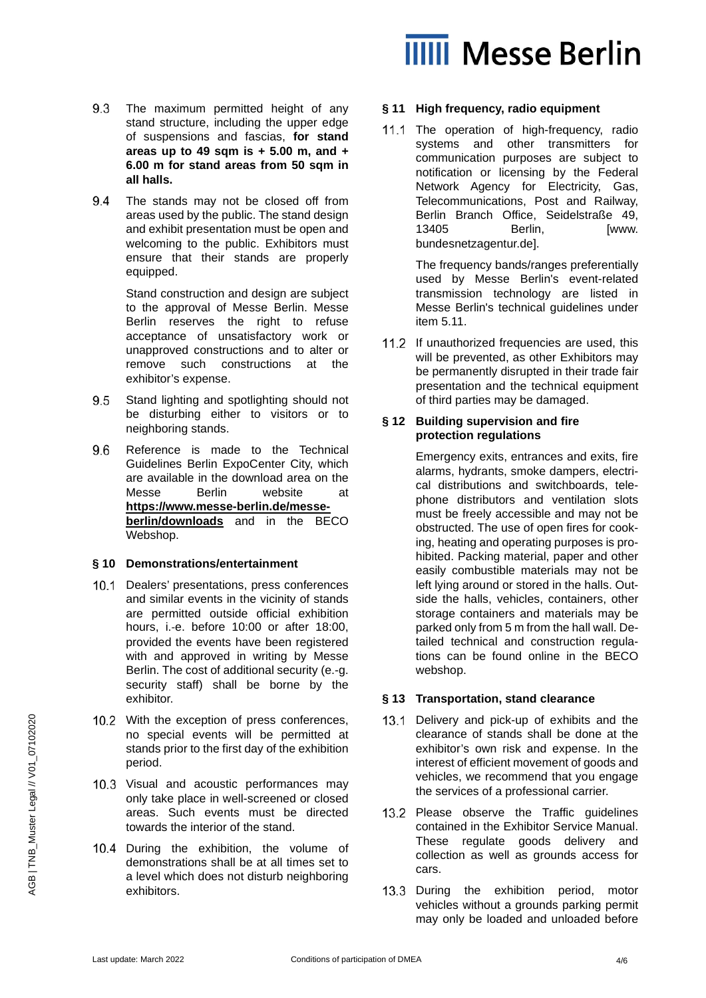

- 9.3 The maximum permitted height of any stand structure, including the upper edge of suspensions and fascias, **for stand areas up to 49 sqm is + 5.00 m, and + 6.00 m for stand areas from 50 sqm in all halls.**
- 9.4 The stands may not be closed off from areas used by the public. The stand design and exhibit presentation must be open and welcoming to the public. Exhibitors must ensure that their stands are properly equipped.

Stand construction and design are subject to the approval of Messe Berlin. Messe Berlin reserves the right to refuse acceptance of unsatisfactory work or unapproved constructions and to alter or remove such constructions at the exhibitor's expense.

- 9.5 Stand lighting and spotlighting should not be disturbing either to visitors or to neighboring stands.
- 96 Reference is made to the Technical Guidelines Berlin ExpoCenter City, which are available in the download area on the Messe Berlin website at **[https://www.messe-berlin.de/messe](https://www.messe-berlin.de/messe-berlin/downloads)[berlin/downloads](https://www.messe-berlin.de/messe-berlin/downloads)** and in the BECO Webshop.

#### **§ 10 Demonstrations/entertainment**

- 10.1 Dealers' presentations, press conferences and similar events in the vicinity of stands are permitted outside official exhibition hours, i.*-*e. before 10:00 or after 18:00, provided the events have been registered with and approved in writing by Messe Berlin. The cost of additional security (e.-g. security staff) shall be borne by the exhibitor.
- 10.2 With the exception of press conferences, no special events will be permitted at stands prior to the first day of the exhibition period.
- 10.3 Visual and acoustic performances may only take place in well-screened or closed areas. Such events must be directed towards the interior of the stand.
- 10.4 During the exhibition, the volume of demonstrations shall be at all times set to a level which does not disturb neighboring exhibitors.

#### **§ 11 High frequency, radio equipment**

11.1 The operation of high-frequency, radio systems and other transmitters for communication purposes are subject to notification or licensing by the Federal Network Agency for Electricity, Gas, Telecommunications, Post and Railway, Berlin Branch Office, Seidelstraße 49, 13405 Berlin, **IWWW.** bundesnetzagentur.de].

> The frequency bands/ranges preferentially used by Messe Berlin's event-related transmission technology are listed in Messe Berlin's technical guidelines under item 5.11.

11.2 If unauthorized frequencies are used, this will be prevented, as other Exhibitors may be permanently disrupted in their trade fair presentation and the technical equipment of third parties may be damaged.

#### **§ 12 Building supervision and fire protection regulations**

Emergency exits, entrances and exits, fire alarms, hydrants, smoke dampers, electrical distributions and switchboards, telephone distributors and ventilation slots must be freely accessible and may not be obstructed. The use of open fires for cooking, heating and operating purposes is prohibited. Packing material, paper and other easily combustible materials may not be left lying around or stored in the halls. Outside the halls, vehicles, containers, other storage containers and materials may be parked only from 5 m from the hall wall. Detailed technical and construction regulations can be found online in the BECO webshop.

# **§ 13 Transportation, stand clearance**

- 13.1 Delivery and pick-up of exhibits and the clearance of stands shall be done at the exhibitor's own risk and expense. In the interest of efficient movement of goods and vehicles, we recommend that you engage the services of a professional carrier.
- 13.2 Please observe the Traffic guidelines contained in the Exhibitor Service Manual. These regulate goods delivery and collection as well as grounds access for cars.
- 13.3 During the exhibition period, motor vehicles without a grounds parking permit may only be loaded and unloaded before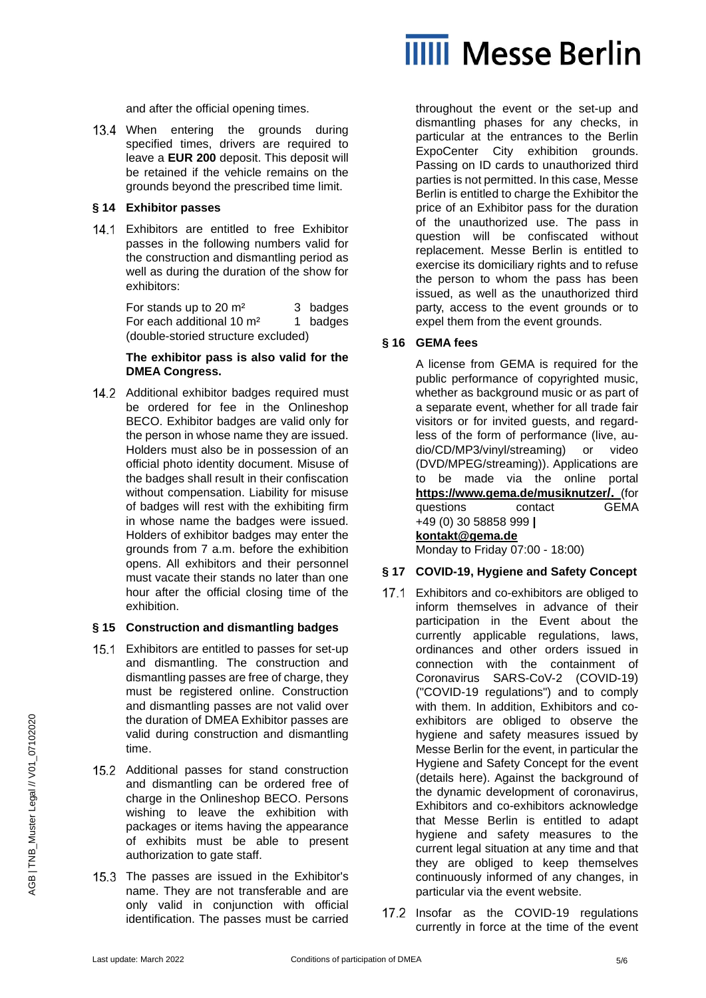

and after the official opening times.

13.4 When entering the grounds during specified times, drivers are required to leave a **EUR 200** deposit. This deposit will be retained if the vehicle remains on the grounds beyond the prescribed time limit.

#### **§ 14 Exhibitor passes**

14.1 Exhibitors are entitled to free Exhibitor passes in the following numbers valid for the construction and dismantling period as well as during the duration of the show for exhibitors:

> For stands up to 20 m<sup>2</sup> 3 badges For each additional  $10 \text{ m}^2$  1 badges (double-storied structure excluded)

#### **The exhibitor pass is also valid for the DMEA Congress.**

14.2 Additional exhibitor badges required must be ordered for fee in the Onlineshop BECO. Exhibitor badges are valid only for the person in whose name they are issued. Holders must also be in possession of an official photo identity document. Misuse of the badges shall result in their confiscation without compensation. Liability for misuse of badges will rest with the exhibiting firm in whose name the badges were issued. Holders of exhibitor badges may enter the grounds from 7 a.m. before the exhibition opens. All exhibitors and their personnel must vacate their stands no later than one hour after the official closing time of the exhibition.

# **§ 15 Construction and dismantling badges**

- 15.1 Exhibitors are entitled to passes for set-up and dismantling. The construction and dismantling passes are free of charge, they must be registered online. Construction and dismantling passes are not valid over the duration of DMEA Exhibitor passes are valid during construction and dismantling time.
- 15.2 Additional passes for stand construction and dismantling can be ordered free of charge in the Onlineshop BECO. Persons wishing to leave the exhibition with packages or items having the appearance of exhibits must be able to present authorization to gate staff.
- 15.3 The passes are issued in the Exhibitor's name. They are not transferable and are only valid in conjunction with official identification. The passes must be carried

throughout the event or the set-up and dismantling phases for any checks, in particular at the entrances to the Berlin ExpoCenter City exhibition grounds. Passing on ID cards to unauthorized third parties is not permitted. In this case, Messe Berlin is entitled to charge the Exhibitor the price of an Exhibitor pass for the duration of the unauthorized use. The pass in question will be confiscated without replacement. Messe Berlin is entitled to exercise its domiciliary rights and to refuse the person to whom the pass has been issued, as well as the unauthorized third party, access to the event grounds or to expel them from the event grounds.

# **§ 16 GEMA fees**

A license from GEMA is required for the public performance of copyrighted music, whether as background music or as part of a separate event, whether for all trade fair visitors or for invited guests, and regardless of the form of performance (live, audio/CD/MP3/vinyl/streaming) or video (DVD/MPEG/streaming)). Applications are to be made via the online portal **[https://www.gema.de/musiknutzer/.](https://www.gema.de/musiknutzer/)** (for questions contact GEMA +49 (0) 30 58858 999 **| [kontakt@gema.de](mailto:kontakt@gema.de)** Monday to Friday 07:00 - 18:00)

# **§ 17 COVID-19, Hygiene and Safety Concept**

- 17.1 Exhibitors and co-exhibitors are obliged to inform themselves in advance of their participation in the Event about the currently applicable regulations, laws, ordinances and other orders issued in connection with the containment of Coronavirus SARS-CoV-2 (COVID-19) ("COVID-19 regulations") and to comply with them. In addition, Exhibitors and coexhibitors are obliged to observe the hygiene and safety measures issued by Messe Berlin for the event, in particular the Hygiene and Safety Concept for the event (details here). Against the background of the dynamic development of coronavirus, Exhibitors and co-exhibitors acknowledge that Messe Berlin is entitled to adapt hygiene and safety measures to the current legal situation at any time and that they are obliged to keep themselves continuously informed of any changes, in particular via the event website.
- 17.2 Insofar as the COVID-19 regulations currently in force at the time of the event